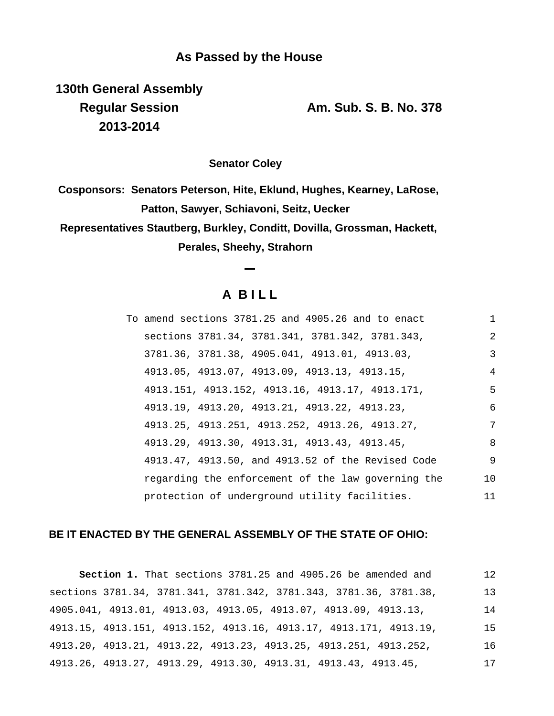**130th General Assembly Regular Session Am. Sub. S. B. No. 378 2013-2014**

**Senator Coley**

**Cosponsors: Senators Peterson, Hite, Eklund, Hughes, Kearney, LaRose, Patton, Sawyer, Schiavoni, Seitz, Uecker Representatives Stautberg, Burkley, Conditt, Dovilla, Grossman, Hackett, Perales, Sheehy, Strahorn**

## **A B I L L**

|  |                                              | To amend sections 3781.25 and 4905.26 and to enact | $\mathbf{1}$   |
|--|----------------------------------------------|----------------------------------------------------|----------------|
|  |                                              | sections 3781.34, 3781.341, 3781.342, 3781.343,    | $\overline{2}$ |
|  |                                              | 3781.36, 3781.38, 4905.041, 4913.01, 4913.03,      | 3              |
|  | 4913.05, 4913.07, 4913.09, 4913.13, 4913.15, |                                                    | $\overline{4}$ |
|  |                                              | 4913.151, 4913.152, 4913.16, 4913.17, 4913.171,    | 5              |
|  | 4913.19, 4913.20, 4913.21, 4913.22, 4913.23, |                                                    | 6              |
|  |                                              | 4913.25, 4913.251, 4913.252, 4913.26, 4913.27,     | 7              |
|  | 4913.29, 4913.30, 4913.31, 4913.43, 4913.45, |                                                    | 8              |
|  |                                              | 4913.47, 4913.50, and 4913.52 of the Revised Code  | 9              |
|  |                                              | regarding the enforcement of the law governing the | 10             |
|  |                                              | protection of underground utility facilities.      | 11             |

## **BE IT ENACTED BY THE GENERAL ASSEMBLY OF THE STATE OF OHIO:**

**Section 1.** That sections 3781.25 and 4905.26 be amended and sections 3781.34, 3781.341, 3781.342, 3781.343, 3781.36, 3781.38, 4905.041, 4913.01, 4913.03, 4913.05, 4913.07, 4913.09, 4913.13, 4913.15, 4913.151, 4913.152, 4913.16, 4913.17, 4913.171, 4913.19, 4913.20, 4913.21, 4913.22, 4913.23, 4913.25, 4913.251, 4913.252, 4913.26, 4913.27, 4913.29, 4913.30, 4913.31, 4913.43, 4913.45, 12 13 14 15 16 17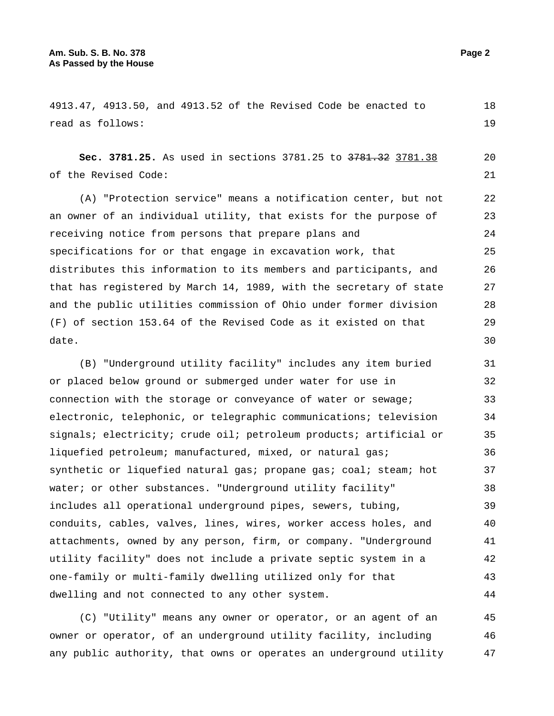4913.47, 4913.50, and 4913.52 of the Revised Code be enacted to read as follows: 18 19

**Sec. 3781.25.** As used in sections 3781.25 to 3781.32 3781.38 of the Revised Code: 20 21

(A) "Protection service" means a notification center, but not an owner of an individual utility, that exists for the purpose of receiving notice from persons that prepare plans and specifications for or that engage in excavation work, that distributes this information to its members and participants, and that has registered by March 14, 1989, with the secretary of state and the public utilities commission of Ohio under former division (F) of section 153.64 of the Revised Code as it existed on that date. 22 23 24 25 26 27 28 29 30

(B) "Underground utility facility" includes any item buried or placed below ground or submerged under water for use in connection with the storage or conveyance of water or sewage; electronic, telephonic, or telegraphic communications; television signals; electricity; crude oil; petroleum products; artificial or liquefied petroleum; manufactured, mixed, or natural gas; synthetic or liquefied natural gas; propane gas; coal; steam; hot water; or other substances. "Underground utility facility" includes all operational underground pipes, sewers, tubing, conduits, cables, valves, lines, wires, worker access holes, and attachments, owned by any person, firm, or company. "Underground utility facility" does not include a private septic system in a one-family or multi-family dwelling utilized only for that dwelling and not connected to any other system. 31 32 33 34 35 36 37 38 39 40 41 42 43 44

(C) "Utility" means any owner or operator, or an agent of an owner or operator, of an underground utility facility, including any public authority, that owns or operates an underground utility 45 46 47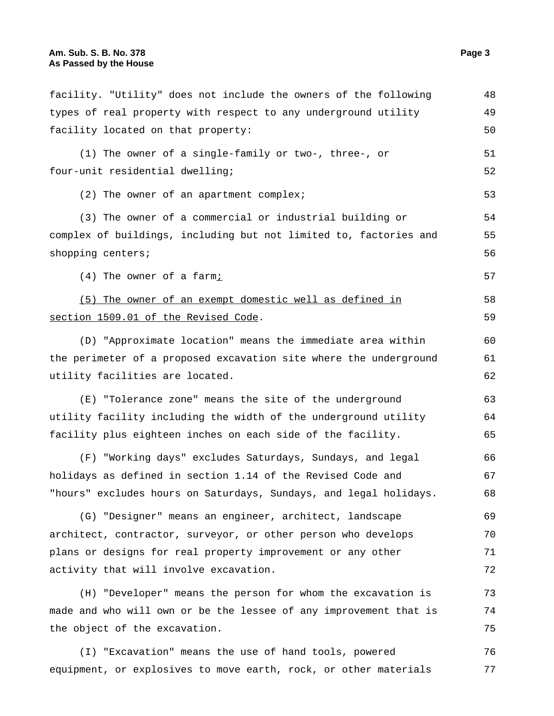facility. "Utility" does not include the owners of the following types of real property with respect to any underground utility facility located on that property: 48 49 50 (1) The owner of a single-family or two-, three-, or four-unit residential dwelling; 51 52 (2) The owner of an apartment complex;  $53$ (3) The owner of a commercial or industrial building or complex of buildings, including but not limited to, factories and shopping centers; 54 55 56  $(4)$  The owner of a farm;  $57$ (5) The owner of an exempt domestic well as defined in section 1509.01 of the Revised Code. 58 59 (D) "Approximate location" means the immediate area within the perimeter of a proposed excavation site where the underground utility facilities are located. 60 61 62 (E) "Tolerance zone" means the site of the underground utility facility including the width of the underground utility facility plus eighteen inches on each side of the facility. 63 64 65 (F) "Working days" excludes Saturdays, Sundays, and legal holidays as defined in section 1.14 of the Revised Code and "hours" excludes hours on Saturdays, Sundays, and legal holidays. 66 67 68 (G) "Designer" means an engineer, architect, landscape architect, contractor, surveyor, or other person who develops plans or designs for real property improvement or any other activity that will involve excavation. 69 70 71 72 (H) "Developer" means the person for whom the excavation is made and who will own or be the lessee of any improvement that is the object of the excavation. 73 74 75 (I) "Excavation" means the use of hand tools, powered equipment, or explosives to move earth, rock, or other materials 76 77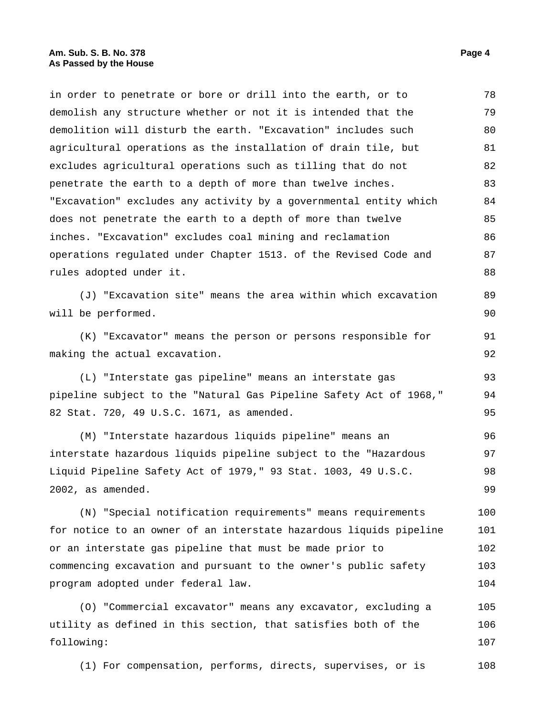in order to penetrate or bore or drill into the earth, or to demolish any structure whether or not it is intended that the demolition will disturb the earth. "Excavation" includes such agricultural operations as the installation of drain tile, but excludes agricultural operations such as tilling that do not penetrate the earth to a depth of more than twelve inches. "Excavation" excludes any activity by a governmental entity which does not penetrate the earth to a depth of more than twelve inches. "Excavation" excludes coal mining and reclamation operations regulated under Chapter 1513. of the Revised Code and rules adopted under it. 78 79 80 81 82 83 84 85 86 87 88

(J) "Excavation site" means the area within which excavation will be performed. 89 90

(K) "Excavator" means the person or persons responsible for making the actual excavation.

(L) "Interstate gas pipeline" means an interstate gas pipeline subject to the "Natural Gas Pipeline Safety Act of 1968," 82 Stat. 720, 49 U.S.C. 1671, as amended. 93 94 95

(M) "Interstate hazardous liquids pipeline" means an interstate hazardous liquids pipeline subject to the "Hazardous Liquid Pipeline Safety Act of 1979," 93 Stat. 1003, 49 U.S.C. 2002, as amended. 96 97 98 99

(N) "Special notification requirements" means requirements for notice to an owner of an interstate hazardous liquids pipeline or an interstate gas pipeline that must be made prior to commencing excavation and pursuant to the owner's public safety program adopted under federal law. 100 101 102 103 104

(O) "Commercial excavator" means any excavator, excluding a utility as defined in this section, that satisfies both of the following: 105 106 107

(1) For compensation, performs, directs, supervises, or is 108

91 92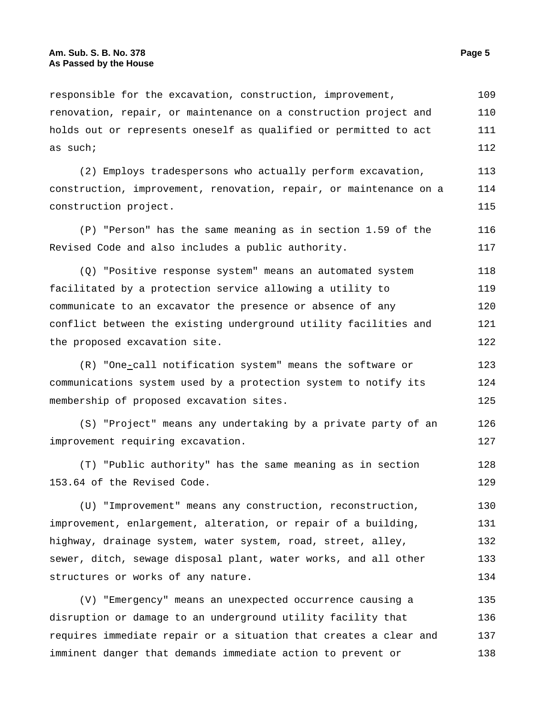renovation, repair, or maintenance on a construction project and holds out or represents oneself as qualified or permitted to act as such; 110 111 112 (2) Employs tradespersons who actually perform excavation, construction, improvement, renovation, repair, or maintenance on a construction project. 113 114 115 (P) "Person" has the same meaning as in section 1.59 of the Revised Code and also includes a public authority. 116 117 (Q) "Positive response system" means an automated system facilitated by a protection service allowing a utility to communicate to an excavator the presence or absence of any conflict between the existing underground utility facilities and the proposed excavation site. 118 119 120 121 122 (R) "One-call notification system" means the software or 123

responsible for the excavation, construction, improvement,

communications system used by a protection system to notify its membership of proposed excavation sites. 124 125

(S) "Project" means any undertaking by a private party of an improvement requiring excavation. 126 127

(T) "Public authority" has the same meaning as in section 153.64 of the Revised Code. 128 129

(U) "Improvement" means any construction, reconstruction, improvement, enlargement, alteration, or repair of a building, highway, drainage system, water system, road, street, alley, sewer, ditch, sewage disposal plant, water works, and all other structures or works of any nature. 130 131 132 133 134

(V) "Emergency" means an unexpected occurrence causing a disruption or damage to an underground utility facility that requires immediate repair or a situation that creates a clear and imminent danger that demands immediate action to prevent or 135 136 137 138

109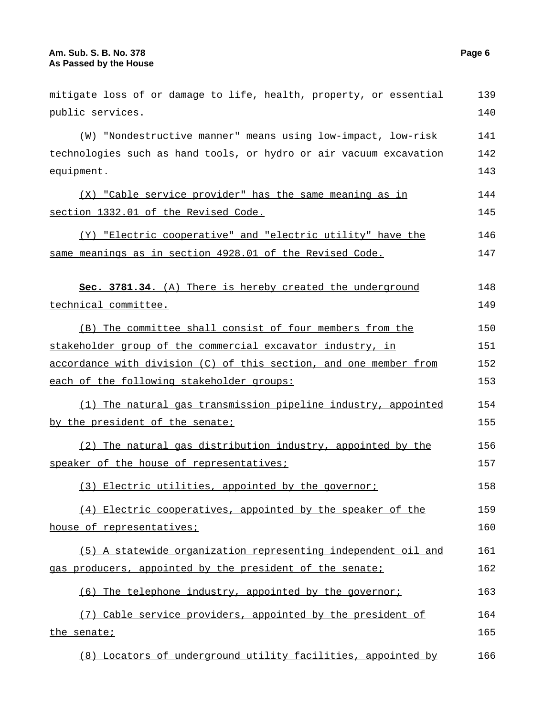| mitigate loss of or damage to life, health, property, or essential | 139 |
|--------------------------------------------------------------------|-----|
| public services.                                                   | 140 |
| (W) "Nondestructive manner" means using low-impact, low-risk       | 141 |
| technologies such as hand tools, or hydro or air vacuum excavation | 142 |
| equipment.                                                         | 143 |
| (X) "Cable service provider" has the same meaning as in            | 144 |
| section 1332.01 of the Revised Code.                               | 145 |
| (Y) "Electric cooperative" and "electric utility" have the         | 146 |
| same meanings as in section 4928.01 of the Revised Code.           | 147 |
|                                                                    |     |
| Sec. 3781.34. (A) There is hereby created the underground          | 148 |
| technical committee.                                               | 149 |
| (B) The committee shall consist of four members from the           | 150 |
| stakeholder group of the commercial excavator industry, in         | 151 |
| accordance with division (C) of this section, and one member from  | 152 |
| each of the following stakeholder groups:                          | 153 |
| (1) The natural gas transmission pipeline industry, appointed      | 154 |
| by the president of the senate;                                    | 155 |
| (2) The natural gas distribution industry, appointed by the        | 156 |
| speaker of the house of representatives;                           | 157 |
| (3) Electric utilities, appointed by the governor;                 | 158 |
| (4) Electric cooperatives, appointed by the speaker of the         | 159 |
| house of representatives;                                          | 160 |
| (5) A statewide organization representing independent oil and      | 161 |
| gas producers, appointed by the president of the senate;           | 162 |
| (6) The telephone industry, appointed by the governor;             | 163 |
| (7) Cable service providers, appointed by the president of         | 164 |
| the senate;                                                        | 165 |
| (8) Locators of underground utility facilities, appointed by       | 166 |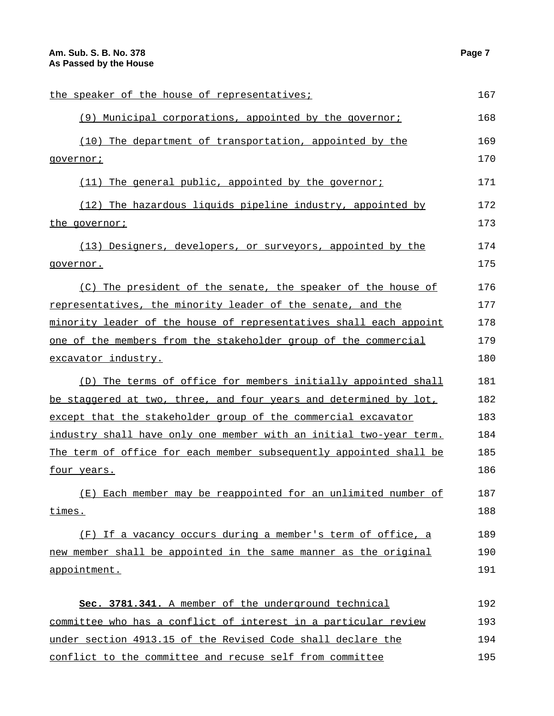| the speaker of the house of representatives;                       | 167 |
|--------------------------------------------------------------------|-----|
| (9) Municipal corporations, appointed by the governor;             | 168 |
| (10) The department of transportation, appointed by the            | 169 |
| governor;                                                          | 170 |
| $(11)$ The general public, appointed by the governor;              | 171 |
| (12) The hazardous liquids pipeline industry, appointed by         | 172 |
| the governor;                                                      | 173 |
| (13) Designers, developers, or surveyors, appointed by the         | 174 |
| governor.                                                          | 175 |
| (C) The president of the senate, the speaker of the house of       | 176 |
| representatives, the minority leader of the senate, and the        | 177 |
| minority leader of the house of representatives shall each appoint | 178 |
| one of the members from the stakeholder group of the commercial    | 179 |
| excavator industry.                                                | 180 |
| (D) The terms of office for members initially appointed shall      | 181 |
| be staggered at two, three, and four years and determined by lot,  | 182 |
| except that the stakeholder group of the commercial excavator      | 183 |
| industry shall have only one member with an initial two-year term. | 184 |
| The term of office for each member subsequently appointed shall be | 185 |
| <u>four years.</u>                                                 | 186 |
| (E) Each member may be reappointed for an unlimited number of      | 187 |
| times.                                                             | 188 |
| (F) If a vacancy occurs during a member's term of office, a        | 189 |
| new member shall be appointed in the same manner as the original   | 190 |
| appointment.                                                       | 191 |
| Sec. 3781.341. A member of the underground technical               | 192 |
| committee who has a conflict of interest in a particular review    | 193 |
| under section 4913.15 of the Revised Code shall declare the        | 194 |
| conflict to the committee and recuse self from committee           | 195 |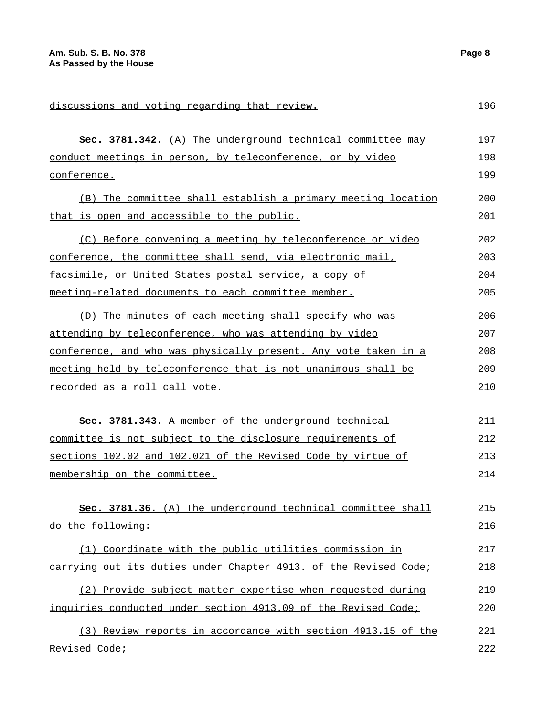**Sec. 3781.342.** (A) The underground technical committee may conduct meetings in person, by teleconference, or by video conference. 197 198 199 (B) The committee shall establish a primary meeting location that is open and accessible to the public. 200 201 (C) Before convening a meeting by teleconference or video conference, the committee shall send, via electronic mail, facsimile, or United States postal service, a copy of meeting-related documents to each committee member. 202 203 204 205 (D) The minutes of each meeting shall specify who was attending by teleconference, who was attending by video conference, and who was physically present. Any vote taken in a meeting held by teleconference that is not unanimous shall be recorded as a roll call vote. 206 207 208 209 210 **Sec. 3781.343.** A member of the underground technical committee is not subject to the disclosure requirements of sections 102.02 and 102.021 of the Revised Code by virtue of membership on the committee. 211 212 213 214 **Sec. 3781.36.** (A) The underground technical committee shall do the following: 215 216

(1) Coordinate with the public utilities commission in carrying out its duties under Chapter 4913. of the Revised Code; 217 218

(2) Provide subject matter expertise when requested during inquiries conducted under section 4913.09 of the Revised Code; 219 220

(3) Review reports in accordance with section 4913.15 of the Revised Code; 221 222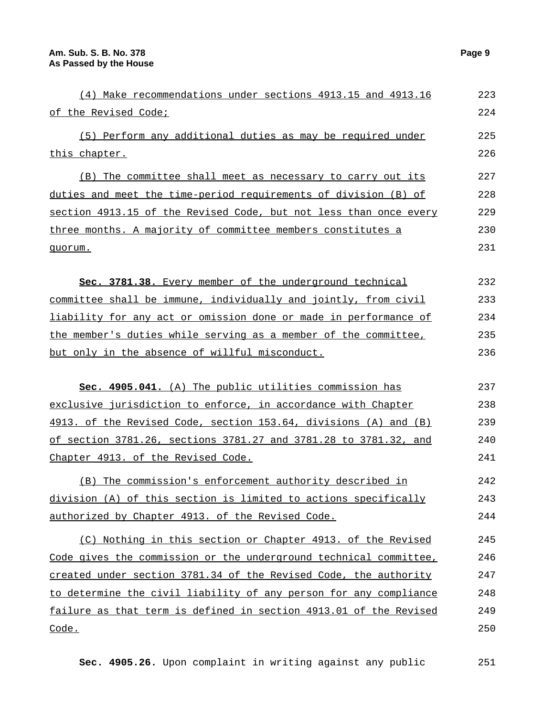| (4) Make recommendations under sections 4913.15 and 4913.16       | 223 |
|-------------------------------------------------------------------|-----|
| of the Revised Code;                                              | 224 |
| (5) Perform any additional duties as may be required under        | 225 |
| this chapter.                                                     | 226 |
| (B) The committee shall meet as necessary to carry out its        | 227 |
| duties and meet the time-period requirements of division (B) of   | 228 |
| section 4913.15 of the Revised Code, but not less than once every | 229 |
| three months. A majority of committee members constitutes a       | 230 |
| quorum.                                                           | 231 |
| Sec. 3781.38. Every member of the underground technical           | 232 |
| committee shall be immune, individually and jointly, from civil   | 233 |
| liability for any act or omission done or made in performance of  | 234 |
| the member's duties while serving as a member of the committee,   | 235 |
| but only in the absence of willful misconduct.                    | 236 |
| Sec. 4905.041. (A) The public utilities commission has            | 237 |
| exclusive jurisdiction to enforce, in accordance with Chapter     | 238 |
| 4913. of the Revised Code, section 153.64, divisions (A) and (B)  | 239 |
| of section 3781.26, sections 3781.27 and 3781.28 to 3781.32, and  | 240 |
| Chapter 4913. of the Revised Code.                                | 241 |
| (B) The commission's enforcement authority described in           | 242 |
| division (A) of this section is limited to actions specifically   | 243 |
| authorized by Chapter 4913. of the Revised Code.                  | 244 |
| (C) Nothing in this section or Chapter 4913. of the Revised       | 245 |
| Code gives the commission or the underground technical committee, | 246 |
| created under section 3781.34 of the Revised Code, the authority  | 247 |
| to determine the civil liability of any person for any compliance | 248 |
| failure as that term is defined in section 4913.01 of the Revised | 249 |
| Code.                                                             | 250 |

**Sec. 4905.26.** Upon complaint in writing against any public 251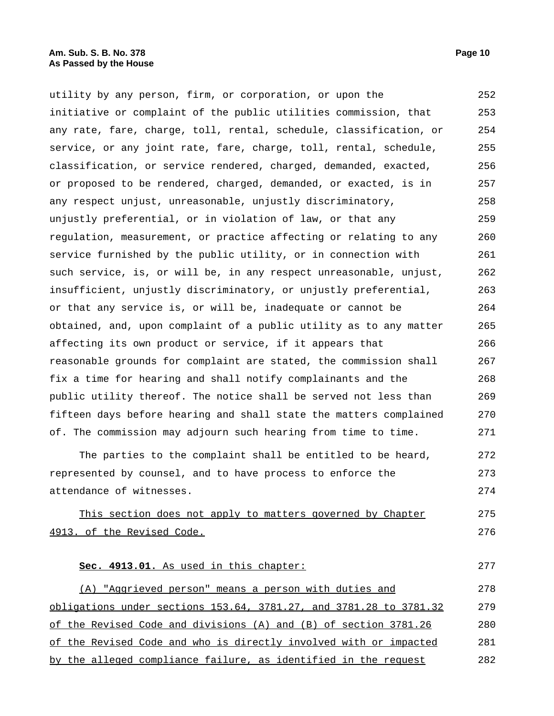utility by any person, firm, or corporation, or upon the initiative or complaint of the public utilities commission, that any rate, fare, charge, toll, rental, schedule, classification, or service, or any joint rate, fare, charge, toll, rental, schedule, classification, or service rendered, charged, demanded, exacted, or proposed to be rendered, charged, demanded, or exacted, is in any respect unjust, unreasonable, unjustly discriminatory, unjustly preferential, or in violation of law, or that any regulation, measurement, or practice affecting or relating to any service furnished by the public utility, or in connection with such service, is, or will be, in any respect unreasonable, unjust, insufficient, unjustly discriminatory, or unjustly preferential, or that any service is, or will be, inadequate or cannot be obtained, and, upon complaint of a public utility as to any matter affecting its own product or service, if it appears that reasonable grounds for complaint are stated, the commission shall fix a time for hearing and shall notify complainants and the public utility thereof. The notice shall be served not less than fifteen days before hearing and shall state the matters complained of. The commission may adjourn such hearing from time to time. 252 253 254 255 256 257 258 259 260 261 262 263 264 265 266 267 268 269 270 271

The parties to the complaint shall be entitled to be heard, represented by counsel, and to have process to enforce the attendance of witnesses. 272 273 274

This section does not apply to matters governed by Chapter 4913. of the Revised Code. 275 276

## **Sec. 4913.01.** As used in this chapter: 277

(A) "Aggrieved person" means a person with duties and obligations under sections 153.64, 3781.27, and 3781.28 to 3781.32 of the Revised Code and divisions (A) and (B) of section 3781.26 of the Revised Code and who is directly involved with or impacted by the alleged compliance failure, as identified in the request 278 279 280 281 282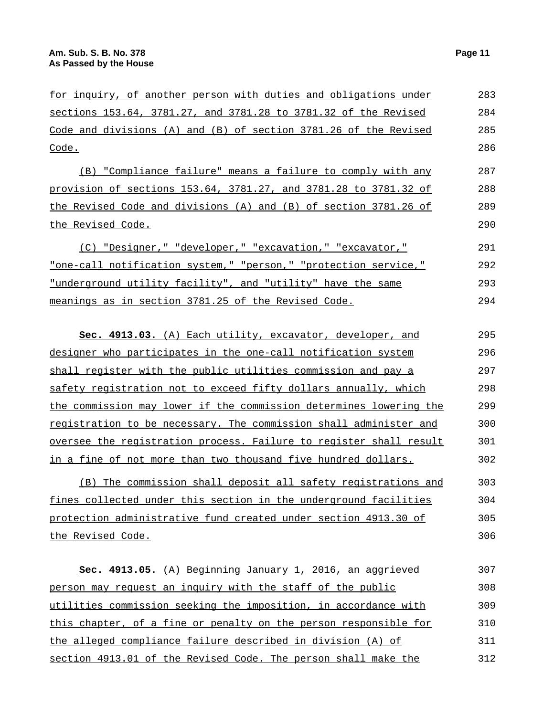the Revised Code.

290

| for inquiry, of another person with duties and obligations under     | 283 |
|----------------------------------------------------------------------|-----|
| sections 153.64, 3781.27, and 3781.28 to 3781.32 of the Revised      | 284 |
| Code and divisions $(A)$ and $(B)$ of section 3781.26 of the Revised | 285 |
| Code.                                                                | 286 |
| (B) "Compliance failure" means a failure to comply with any          | 287 |
| provision of sections 153.64, 3781.27, and 3781.28 to 3781.32 of     | 288 |
| the Revised Code and divisions (A) and (B) of section 3781.26 of     | 289 |

(C) "Designer," "developer," "excavation," "excavator," "one-call notification system," "person," "protection service," "underground utility facility", and "utility" have the same meanings as in section 3781.25 of the Revised Code. 291 292 293 294

| Sec. 4913.03. (A) Each utility, excavator, developer, and          | 295 |
|--------------------------------------------------------------------|-----|
| designer who participates in the one-call notification system      | 296 |
| shall register with the public utilities commission and pay a      | 297 |
| safety registration not to exceed fifty dollars annually, which    | 298 |
| the commission may lower if the commission determines lowering the | 299 |
| registration to be necessary. The commission shall administer and  | 300 |
| oversee the registration process. Failure to register shall result | 301 |
| in a fine of not more than two thousand five hundred dollars.      | 302 |

(B) The commission shall deposit all safety registrations and fines collected under this section in the underground facilities protection administrative fund created under section 4913.30 of the Revised Code. 303 304 305 306

| Sec. 4913.05. (A) Beginning January 1, 2016, an aggrieved        | 307 |
|------------------------------------------------------------------|-----|
| person may request an inquiry with the staff of the public       | 308 |
| utilities commission seeking the imposition, in accordance with  | 309 |
| this chapter, of a fine or penalty on the person responsible for | 310 |
| the alleged compliance failure described in division (A) of      | 311 |
| section 4913.01 of the Revised Code. The person shall make the   | 312 |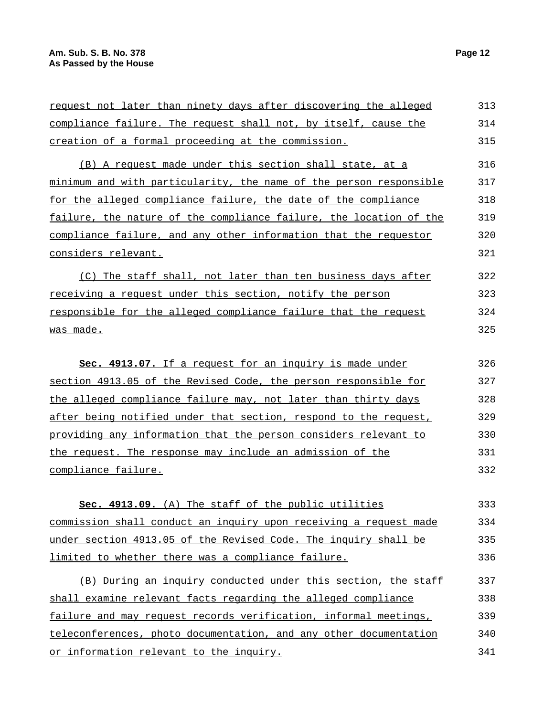| request not later than ninety days after discovering the alleged          | 313 |
|---------------------------------------------------------------------------|-----|
| compliance failure. The request shall not, by itself, cause the           | 314 |
| creation of a formal proceeding at the commission.                        | 315 |
| (B) A request made under this section shall state, at a                   | 316 |
| <u>minimum and with particularity, the name of the person responsible</u> | 317 |
| for the alleged compliance failure, the date of the compliance            | 318 |
| failure, the nature of the compliance failure, the location of the        | 319 |
| compliance failure, and any other information that the requestor          | 320 |
| considers relevant.                                                       | 321 |
| (C) The staff shall, not later than ten business days after               | 322 |
| <u>receiving a request under this section, notify the person</u>          | 323 |
| responsible for the alleged compliance failure that the request           | 324 |
| was made.                                                                 | 325 |
| Sec. 4913.07. If a request for an inquiry is made under                   | 326 |
| section 4913.05 of the Revised Code, the person responsible for           | 327 |
| the alleged compliance failure may, not later than thirty days            | 328 |
| after being notified under that section, respond to the request,          | 329 |
| providing any information that the person considers relevant to           | 330 |
| the request. The response may include an admission of the                 | 331 |
| compliance failure.                                                       | 332 |
| Sec. 4913.09. (A) The staff of the public utilities                       | 333 |
| commission shall conduct an inquiry upon receiving a request made         | 334 |
| under section 4913.05 of the Revised Code. The inquiry shall be           | 335 |
| limited to whether there was a compliance failure.                        | 336 |
| (B) During an inquiry conducted under this section, the staff             | 337 |
| shall examine relevant facts regarding the alleged compliance             | 338 |
| failure and may request records verification, informal meetings,          | 339 |
| teleconferences, photo documentation, and any other documentation         | 340 |
| or information relevant to the inquiry.                                   | 341 |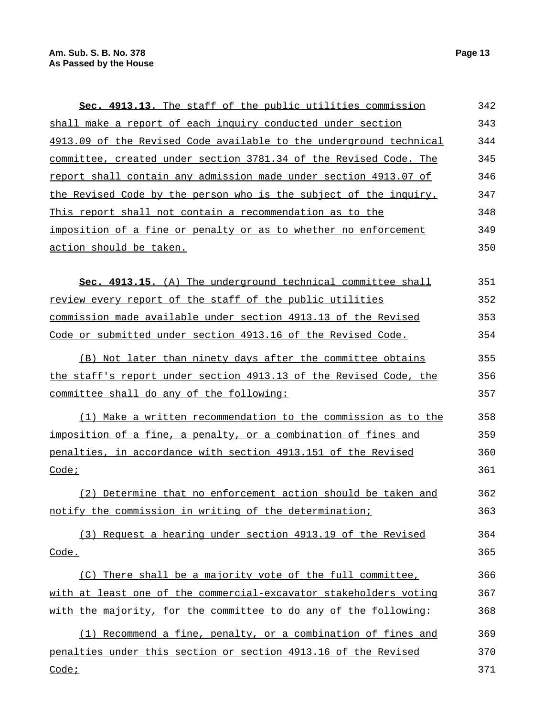| Sec. 4913.13. The staff of the public utilities commission         | 342 |
|--------------------------------------------------------------------|-----|
| shall make a report of each inquiry conducted under section        | 343 |
| 4913.09 of the Revised Code available to the underground technical | 344 |
| committee, created under section 3781.34 of the Revised Code. The  | 345 |
| report shall contain any admission made under section 4913.07 of   | 346 |
| the Revised Code by the person who is the subject of the inquiry.  | 347 |
| This report shall not contain a recommendation as to the           | 348 |
| imposition of a fine or penalty or as to whether no enforcement    | 349 |
| action should be taken.                                            | 350 |
|                                                                    |     |
| Sec. 4913.15. (A) The underground technical committee shall        | 351 |
| review every report of the staff of the public utilities           | 352 |
| commission made available under section 4913.13 of the Revised     | 353 |
| Code or submitted under section 4913.16 of the Revised Code.       | 354 |
| (B) Not later than ninety days after the committee obtains         | 355 |
| the staff's report under section 4913.13 of the Revised Code, the  | 356 |
| committee shall do any of the following:                           | 357 |
| (1) Make a written recommendation to the commission as to the      | 358 |
| imposition of a fine, a penalty, or a combination of fines and     | 359 |
| penalties, in accordance with section 4913.151 of the Revised      | 360 |
| Code <sub>i</sub>                                                  | 361 |
| (2) Determine that no enforcement action should be taken and       | 362 |
| notify the commission in writing of the determination;             | 363 |
|                                                                    |     |

(3) Request a hearing under section 4913.19 of the Revised Code. 364 365

(C) There shall be a majority vote of the full committee, with at least one of the commercial-excavator stakeholders voting with the majority, for the committee to do any of the following: 366 367 368

(1) Recommend a fine, penalty, or a combination of fines and penalties under this section or section 4913.16 of the Revised Code ; 369 370 371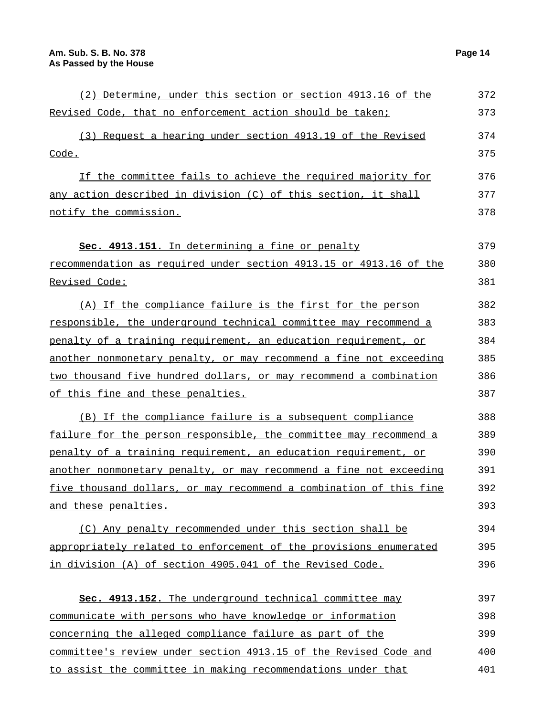401

| (2) Determine, under this section or section 4913.16 of the        | 372 |
|--------------------------------------------------------------------|-----|
| Revised Code, that no enforcement action should be taken;          | 373 |
| (3) Request a hearing under section 4913.19 of the Revised         | 374 |
| Code.                                                              | 375 |
| If the committee fails to achieve the required majority for        | 376 |
| any action described in division (C) of this section, it shall     | 377 |
| notify the commission.                                             | 378 |
| sec. 4913.151. In determining a fine or penalty                    | 379 |
| recommendation as required under section 4913.15 or 4913.16 of the | 380 |
| Revised Code:                                                      | 381 |
| (A) If the compliance failure is the first for the person          | 382 |
| responsible, the underground technical committee may recommend a   | 383 |
| penalty of a training requirement, an education requirement, or    | 384 |
| another nonmonetary penalty, or may recommend a fine not exceeding | 385 |
| two thousand five hundred dollars, or may recommend a combination  | 386 |
| of this fine and these penalties.                                  | 387 |
| (B) If the compliance failure is a subsequent compliance           | 388 |
| failure for the person responsible, the committee may recommend a  | 389 |
| penalty of a training requirement, an education requirement, or    | 390 |
| another nonmonetary penalty, or may recommend a fine not exceeding | 391 |
| five thousand dollars, or may recommend a combination of this fine | 392 |
| and these penalties.                                               | 393 |
| (C) Any penalty recommended under this section shall be            | 394 |
| appropriately related to enforcement of the provisions enumerated  | 395 |
| in division (A) of section 4905.041 of the Revised Code.           | 396 |
|                                                                    |     |
| Sec. 4913.152. The underground technical committee may             | 397 |
| communicate with persons who have knowledge or information         | 398 |
| concerning the alleged compliance failure as part of the           | 399 |
| committee's review under section 4913.15 of the Revised Code and   | 400 |

to assist the committee in making recommendations under that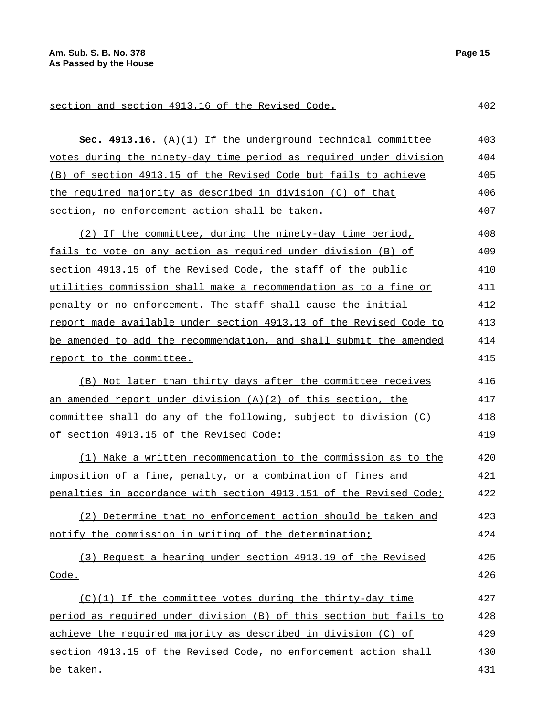section and section 4913.16 of the Revised Code. 402

| Sec. 4913.16. (A)(1) If the underground technical committee        | 403 |
|--------------------------------------------------------------------|-----|
| votes during the ninety-day time period as required under division | 404 |
| (B) of section 4913.15 of the Revised Code but fails to achieve    | 405 |
| the required majority as described in division (C) of that         | 406 |
| section, no enforcement action shall be taken.                     | 407 |
| (2) If the committee, during the ninety-day time period,           | 408 |
| fails to vote on any action as required under division (B) of      | 409 |
| section 4913.15 of the Revised Code, the staff of the public       | 410 |
| utilities commission shall make a recommendation as to a fine or   | 411 |
| penalty or no enforcement. The staff shall cause the initial       | 412 |
| report made available under section 4913.13 of the Revised Code to | 413 |
| be amended to add the recommendation, and shall submit the amended | 414 |
| report to the committee.                                           | 415 |
| (B) Not later than thirty days after the committee receives        | 416 |
| an amended report under division $(A)(2)$ of this section, the     | 417 |
| committee shall do any of the following, subject to division (C)   | 418 |
| of section 4913.15 of the Revised Code:                            | 419 |
| (1) Make a written recommendation to the commission as to the      | 420 |
| imposition of a fine, penalty, or a combination of fines and       | 421 |
| penalties in accordance with section 4913.151 of the Revised Code; | 422 |
| (2) Determine that no enforcement action should be taken and       | 423 |
| notify the commission in writing of the determination;             | 424 |
| (3) Request a hearing under section 4913.19 of the Revised         | 425 |
| Code.                                                              | 426 |
| (C)(1) If the committee votes during the thirty-day time           | 427 |
| period as required under division (B) of this section but fails to | 428 |
| achieve the required majority as described in division (C) of      | 429 |
| section 4913.15 of the Revised Code, no enforcement action shall   | 430 |
| be taken.                                                          | 431 |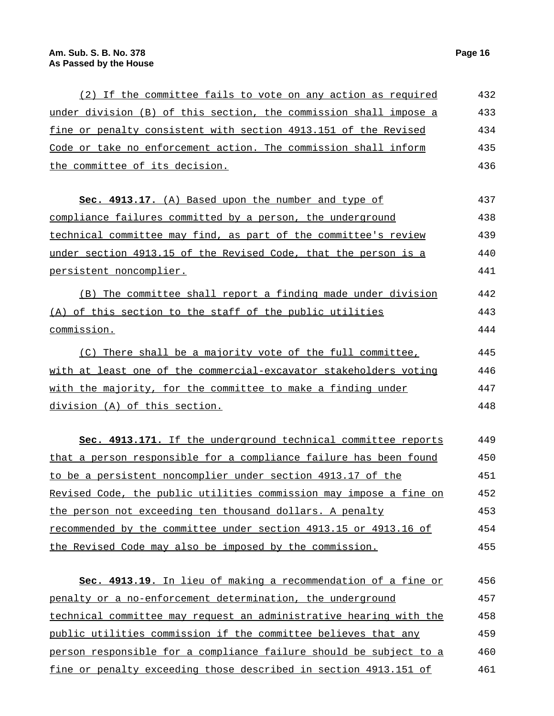| (2) If the committee fails to vote on any action as required       | 432 |
|--------------------------------------------------------------------|-----|
| under division (B) of this section, the commission shall impose a  | 433 |
| fine or penalty consistent with section 4913.151 of the Revised    | 434 |
| Code or take no enforcement action. The commission shall inform    | 435 |
| the committee of its decision.                                     | 436 |
|                                                                    |     |
| Sec. 4913.17. (A) Based upon the number and type of                | 437 |
| compliance failures committed by a person, the underground         | 438 |
| technical committee may find, as part of the committee's review    | 439 |
| under section 4913.15 of the Revised Code, that the person is a    | 440 |
| persistent noncomplier.                                            | 441 |
| (B) The committee shall report a finding made under division       | 442 |
| (A) of this section to the staff of the public utilities           | 443 |
| commission.                                                        | 444 |
| (C) There shall be a majority vote of the full committee,          | 445 |
| with at least one of the commercial-excavator stakeholders voting  | 446 |
| with the majority, for the committee to make a finding under       | 447 |
| division (A) of this section.                                      | 448 |
|                                                                    |     |
| Sec. 4913.171. If the underground technical committee reports      | 449 |
| that a person responsible for a compliance failure has been found  | 450 |
| to be a persistent noncomplier under section 4913.17 of the        | 451 |
| Revised Code, the public utilities commission may impose a fine on | 452 |
| the person not exceeding ten thousand dollars. A penalty           | 453 |
| recommended by the committee under section 4913.15 or 4913.16 of   | 454 |
| the Revised Code may also be imposed by the commission.            | 455 |
|                                                                    |     |
| Sec. 4913.19. In lieu of making a recommendation of a fine or      | 456 |
| penalty or a no-enforcement determination, the underground         | 457 |
| technical committee may request an administrative hearing with the | 458 |
| public utilities commission if the committee believes that any     | 459 |
| person responsible for a compliance failure should be subject to a | 460 |
| fine or penalty exceeding those described in section 4913.151 of   | 461 |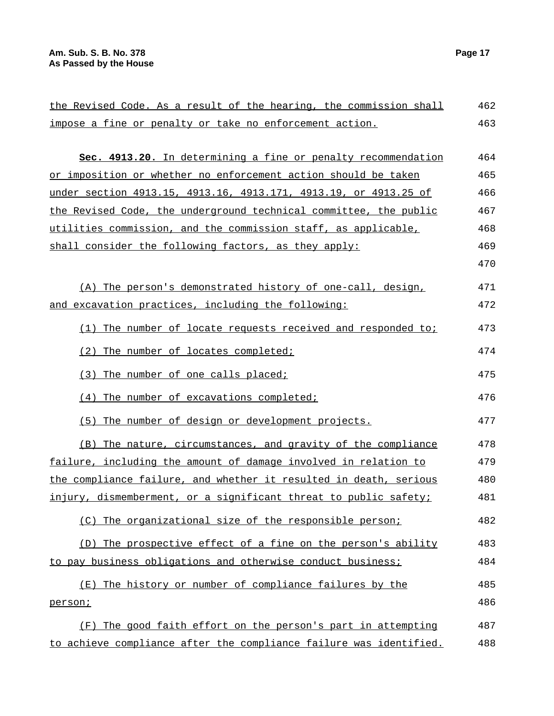| the Revised Code. As a result of the hearing, the commission shall | 462 |
|--------------------------------------------------------------------|-----|
| impose a fine or penalty or take no enforcement action.            | 463 |
| Sec. 4913.20. In determining a fine or penalty recommendation      | 464 |
| or imposition or whether no enforcement action should be taken     | 465 |
| under section 4913.15, 4913.16, 4913.171, 4913.19, or 4913.25 of   | 466 |
| the Revised Code, the underground technical committee, the public  | 467 |
| utilities commission, and the commission staff, as applicable,     | 468 |
| shall consider the following factors, as they apply:               | 469 |
|                                                                    | 470 |
| (A) The person's demonstrated history of one-call, design,         | 471 |
| and excavation practices, including the following:                 | 472 |
| (1) The number of locate requests received and responded to:       | 473 |
| (2) The number of locates completed;                               | 474 |
| (3) The number of one calls placed;                                | 475 |
| (4) The number of excavations completed;                           | 476 |
| The number of design or development projects.<br>(5)               | 477 |
| (B) The nature, circumstances, and gravity of the compliance       | 478 |
| failure, including the amount of damage involved in relation to    | 479 |
| the compliance failure, and whether it resulted in death, serious  | 480 |
| injury, dismemberment, or a significant threat to public safety;   | 481 |
| (C) The organizational size of the responsible person;             | 482 |
| (D) The prospective effect of a fine on the person's ability       | 483 |
| to pay business obligations and otherwise conduct business;        | 484 |
| The history or number of compliance failures by the<br>(E)         | 485 |
| person;                                                            | 486 |
| (F) The good faith effort on the person's part in attempting       | 487 |
| to achieve compliance after the compliance failure was identified. | 488 |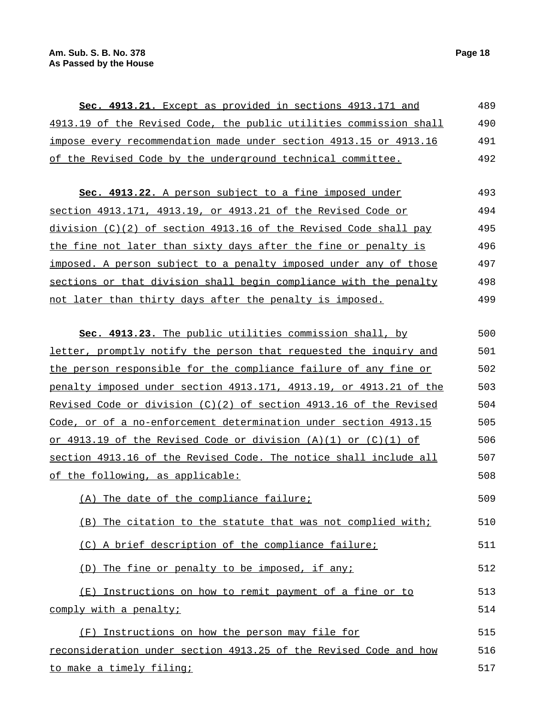| Sec. 4913.21. Except as provided in sections 4913.171 and          | 489 |
|--------------------------------------------------------------------|-----|
| 4913.19 of the Revised Code, the public utilities commission shall | 490 |
| impose every recommendation made under section 4913.15 or 4913.16  | 491 |
| of the Revised Code by the underground technical committee.        | 492 |

**Sec. 4913.22.** A person subject to a fine imposed under section 4913.171, 4913.19, or 4913.21 of the Revised Code or division (C)(2) of section 4913.16 of the Revised Code shall pay the fine not later than sixty days after the fine or penalty is imposed. A person subject to a penalty imposed under any of those sections or that division shall begin compliance with the penalty not later than thirty days after the penalty is imposed. 493 494 495 496 497 498 499

| sec. 4913.23. The public utilities commission shall, by            | 500 |
|--------------------------------------------------------------------|-----|
| letter, promptly notify the person that requested the inquiry and  | 501 |
| the person responsible for the compliance failure of any fine or   | 502 |
| penalty imposed under section 4913.171, 4913.19, or 4913.21 of the | 503 |
| Revised Code or division (C)(2) of section 4913.16 of the Revised  | 504 |
| Code, or of a no-enforcement determination under section 4913.15   | 505 |
| or 4913.19 of the Revised Code or division $(A)(1)$ or $(C)(1)$ of | 506 |
| section 4913.16 of the Revised Code. The notice shall include all  | 507 |
| of the following, as applicable:                                   | 508 |
| (A) The date of the compliance failure;                            | 509 |
| (B) The citation to the statute that was not complied with;        | 510 |
| (C) A brief description of the compliance failure;                 | 511 |
| (D) The fine or penalty to be imposed, if any;                     | 512 |
| (E) Instructions on how to remit payment of a fine or to           | 513 |
| comply with a penalty;                                             | 514 |
| (F) Instructions on how the person may file for                    | 515 |
| reconsideration under section 4913.25 of the Revised Code and how  | 516 |

## to make a timely filing;

517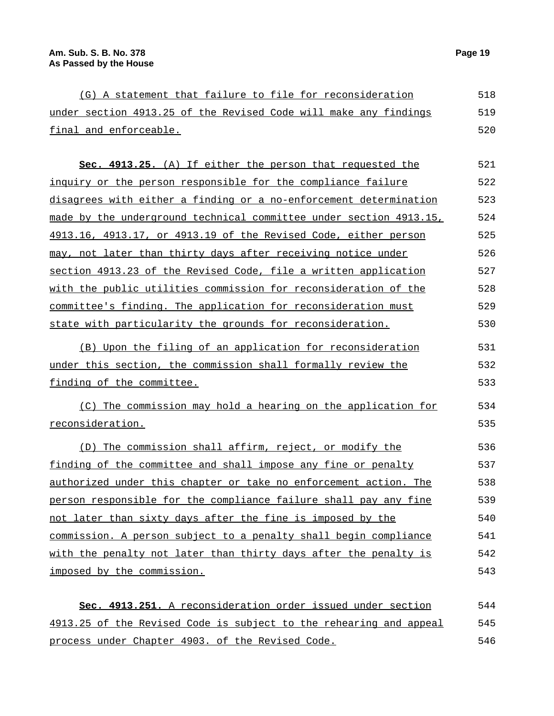|  | (G) A statement that failure to file for reconsideration         |  |  |  | 518 |
|--|------------------------------------------------------------------|--|--|--|-----|
|  | under section 4913.25 of the Revised Code will make any findings |  |  |  | 519 |
|  | final and enforceable.                                           |  |  |  | 520 |

| Sec. 4913.25. (A) If either the person that requested the          | 521 |
|--------------------------------------------------------------------|-----|
| inquiry or the person responsible for the compliance failure       | 522 |
| disagrees with either a finding or a no-enforcement determination  | 523 |
| made by the underground technical committee under section 4913.15, | 524 |
| 4913.16, 4913.17, or 4913.19 of the Revised Code, either person    | 525 |
| may, not later than thirty days after receiving notice under       | 526 |
| section 4913.23 of the Revised Code, file a written application    | 527 |
| with the public utilities commission for reconsideration of the    | 528 |
| committee's finding. The application for reconsideration must      | 529 |
| state with particularity the grounds for reconsideration.          | 530 |
|                                                                    |     |

(B) Upon the filing of an application for reconsideration under this section, the commission shall formally review the finding of the committee. 531 532 533

(C) The commission may hold a hearing on the application for reconsideration. 534 535

(D) The commission shall affirm, reject, or modify the finding of the committee and shall impose any fine or penalty authorized under this chapter or take no enforcement action. The person responsible for the compliance failure shall pay any fine not later than sixty days after the fine is imposed by the commission. A person subject to a penalty shall begin compliance with the penalty not later than thirty days after the penalty is imposed by the commission. 536 537 538 539 540 541 542 543

**Sec. 4913.251.** A reconsideration order issued under section 4913.25 of the Revised Code is subject to the rehearing and appeal process under Chapter 4903. of the Revised Code. 544 545 546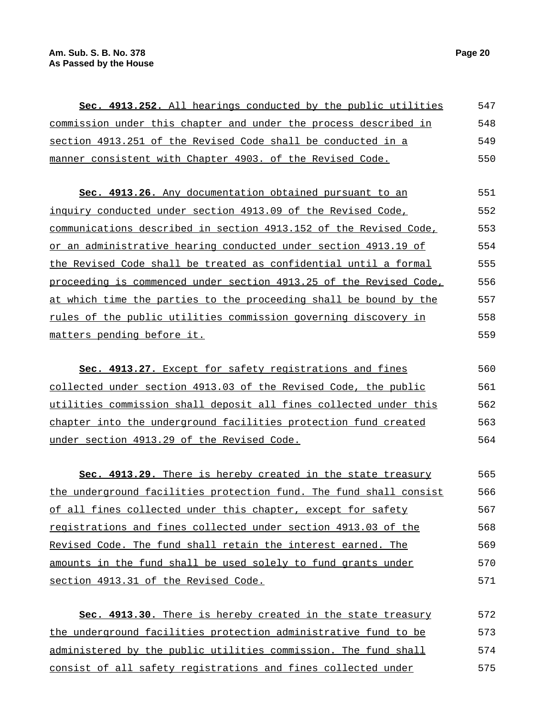| <b>Sec. 4913.252.</b> All hearings conducted by the public utilities    | 547 |
|-------------------------------------------------------------------------|-----|
| <u>commission under this chapter and under the process described in</u> | 548 |
| section 4913.251 of the Revised Code shall be conducted in a            | 549 |
| manner consistent with Chapter 4903. of the Revised Code.               | 550 |

**Sec. 4913.26.** Any documentation obtained pursuant to an inquiry conducted under section 4913.09 of the Revised Code, communications described in section 4913.152 of the Revised Code, or an administrative hearing conducted under section 4913.19 of the Revised Code shall be treated as confidential until a formal proceeding is commenced under section 4913.25 of the Revised Code, at which time the parties to the proceeding shall be bound by the rules of the public utilities commission governing discovery in matters pending before it. 551 552 553 554 555 556 557 558 559

**Sec. 4913.27.** Except for safety registrations and fines collected under section 4913.03 of the Revised Code, the public utilities commission shall deposit all fines collected under this chapter into the underground facilities protection fund created under section 4913.29 of the Revised Code. 560 561 562 563 564

**Sec. 4913.29.** There is hereby created in the state treasury the underground facilities protection fund. The fund shall consist of all fines collected under this chapter, except for safety registrations and fines collected under section 4913.03 of the Revised Code. The fund shall retain the interest earned. The amounts in the fund shall be used solely to fund grants under section 4913.31 of the Revised Code. 565 566 567 568 569 570 571

**Sec. 4913.30.** There is hereby created in the state treasury the underground facilities protection administrative fund to be administered by the public utilities commission. The fund shall consist of all safety registrations and fines collected under 572 573 574 575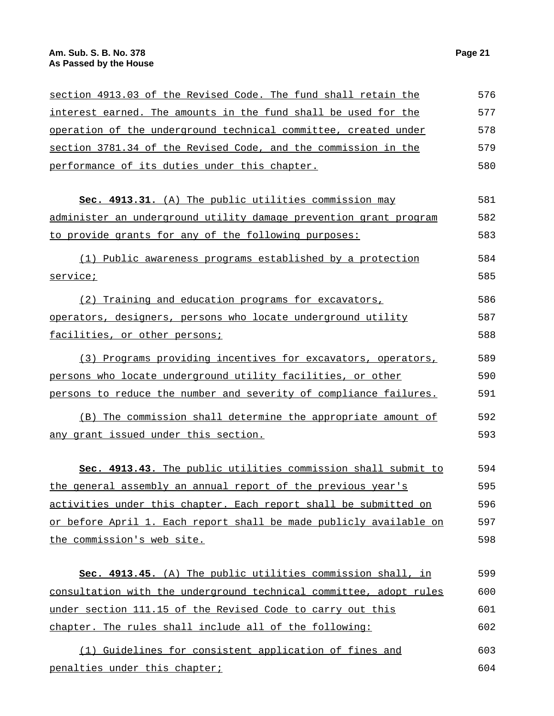| section 4913.03 of the Revised Code. The fund shall retain the     | 576 |
|--------------------------------------------------------------------|-----|
| interest earned. The amounts in the fund shall be used for the     | 577 |
| operation of the underground technical committee, created under    | 578 |
| section 3781.34 of the Revised Code, and the commission in the     | 579 |
| performance of its duties under this chapter.                      | 580 |
| Sec. 4913.31. (A) The public utilities commission may              | 581 |
| administer an underground utility damage prevention grant program  | 582 |
| to provide grants for any of the following purposes:               | 583 |
| (1) Public awareness programs established by a protection          | 584 |
| service;                                                           | 585 |
| (2) Training and education programs for excavators,                | 586 |
| operators, designers, persons who locate underground utility       | 587 |
| facilities, or other persons;                                      | 588 |
| (3) Programs providing incentives for excavators, operators,       | 589 |
| persons who locate underground utility facilities, or other        | 590 |
| persons to reduce the number and severity of compliance failures.  | 591 |
| (B) The commission shall determine the appropriate amount of       | 592 |
| any grant issued under this section.                               | 593 |
| Sec. 4913.43. The public utilities commission shall submit to      | 594 |
| the general assembly an annual report of the previous year's       | 595 |
| activities under this chapter. Each report shall be submitted on   | 596 |
| or before April 1. Each report shall be made publicly available on | 597 |
| the commission's web site.                                         | 598 |
| Sec. 4913.45. (A) The public utilities commission shall, in        | 599 |
| consultation with the underground technical committee, adopt rules | 600 |
| under section 111.15 of the Revised Code to carry out this         | 601 |
| chapter. The rules shall include all of the following:             | 602 |
| (1) Guidelines for consistent application of fines and             | 603 |
| penalties under this chapter;                                      | 604 |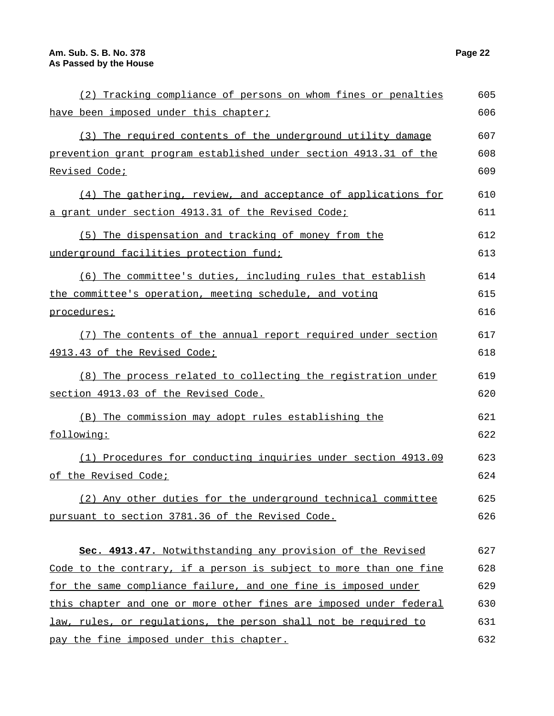| (2) Tracking compliance of persons on whom fines or penalties      | 605 |
|--------------------------------------------------------------------|-----|
| have been imposed under this chapter;                              | 606 |
| (3) The required contents of the underground utility damage        | 607 |
| prevention grant program established under section 4913.31 of the  | 608 |
| Revised Code;                                                      | 609 |
| (4) The gathering, review, and acceptance of applications for      | 610 |
| a grant under section 4913.31 of the Revised Code;                 | 611 |
| (5) The dispensation and tracking of money from the                | 612 |
| underground facilities protection fund;                            | 613 |
| (6) The committee's duties, including rules that establish         | 614 |
| the committee's operation, meeting schedule, and voting            | 615 |
| procedures;                                                        | 616 |
| (7) The contents of the annual report required under section       | 617 |
| 4913.43 of the Revised Code;                                       | 618 |
| (8) The process related to collecting the registration under       | 619 |
| section 4913.03 of the Revised Code.                               | 620 |
| (B) The commission may adopt rules establishing the                | 621 |
| following:                                                         | 622 |
| (1) Procedures for conducting inquiries under section 4913.09      | 623 |
| of the Revised Code;                                               | 624 |
| (2) Any other duties for the underground technical committee       | 625 |
| pursuant to section 3781.36 of the Revised Code.                   | 626 |
|                                                                    |     |
| Sec. 4913.47. Notwithstanding any provision of the Revised         | 627 |
| Code to the contrary, if a person is subject to more than one fine | 628 |
| for the same compliance failure, and one fine is imposed under     | 629 |
| this chapter and one or more other fines are imposed under federal | 630 |
| law, rules, or regulations, the person shall not be required to    | 631 |
| pay the fine imposed under this chapter.                           | 632 |